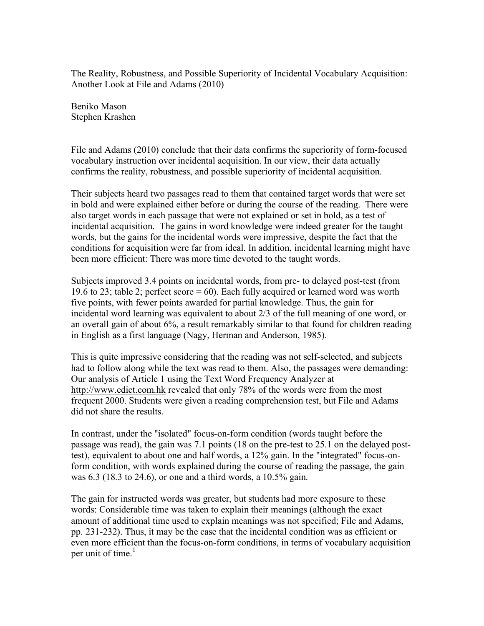The Reality, Robustness, and Possible Superiority of Incidental Vocabulary Acquisition: Another Look at File and Adams (2010)

Beniko Mason Stephen Krashen

File and Adams (2010) conclude that their data confirms the superiority of form-focused vocabulary instruction over incidental acquisition. In our view, their data actually confirms the reality, robustness, and possible superiority of incidental acquisition.

Their subjects heard two passages read to them that contained target words that were set in bold and were explained either before or during the course of the reading. There were also target words in each passage that were not explained or set in bold, as a test of incidental acquisition. The gains in word knowledge were indeed greater for the taught words, but the gains for the incidental words were impressive, despite the fact that the conditions for acquisition were far from ideal. In addition, incidental learning might have been more efficient: There was more time devoted to the taught words.

Subjects improved 3.4 points on incidental words, from pre- to delayed post-test (from 19.6 to 23; table 2; perfect score = 60). Each fully acquired or learned word was worth five points, with fewer points awarded for partial knowledge. Thus, the gain for incidental word learning was equivalent to about 2/3 of the full meaning of one word, or an overall gain of about 6%, a result remarkably similar to that found for children reading in English as a first language (Nagy, Herman and Anderson, 1985).

This is quite impressive considering that the reading was not self-selected, and subjects had to follow along while the text was read to them. Also, the passages were demanding: Our analysis of Article 1 using the Text Word Frequency Analyzer at http://www.edict.com.hk revealed that only 78% of the words were from the most frequent 2000. Students were given a reading comprehension test, but File and Adams did not share the results.

In contrast, under the "isolated" focus-on-form condition (words taught before the passage was read), the gain was 7.1 points (18 on the pre-test to 25.1 on the delayed posttest), equivalent to about one and half words, a 12% gain. In the "integrated" focus-onform condition, with words explained during the course of reading the passage, the gain was 6.3 (18.3 to 24.6), or one and a third words, a 10.5% gain.

The gain for instructed words was greater, but students had more exposure to these words: Considerable time was taken to explain their meanings (although the exact amount of additional time used to explain meanings was not specified; File and Adams, pp. 231-232). Thus, it may be the case that the incidental condition was as efficient or even more efficient than the focus-on-form conditions, in terms of vocabulary acquisition per unit of time.<sup>1</sup>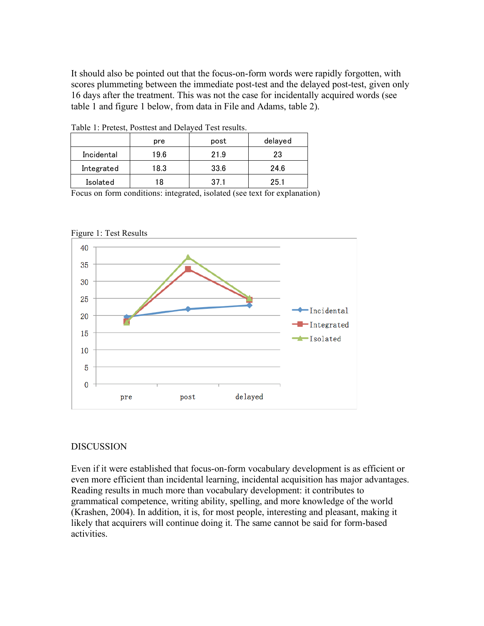It should also be pointed out that the focus-on-form words were rapidly forgotten, with scores plummeting between the immediate post-test and the delayed post-test, given only 16 days after the treatment. This was not the case for incidentally acquired words (see table 1 and figure 1 below, from data in File and Adams, table 2).

| Table 1. Fletest, I osticst and Delayed Test results. |      |      |         |
|-------------------------------------------------------|------|------|---------|
|                                                       | pre  | post | delayed |
| Incidental                                            | 19.6 | 21.9 | 23      |
| Integrated                                            | 18.3 | 33.6 | 24.6    |
| Isolated                                              | 18   | 371  | 25.1    |

Table 1: Pretest, Posttest and Delayed Test results.

Focus on form conditions: integrated, isolated (see text for explanation)





## DISCUSSION

Even if it were established that focus-on-form vocabulary development is as efficient or even more efficient than incidental learning, incidental acquisition has major advantages. Reading results in much more than vocabulary development: it contributes to grammatical competence, writing ability, spelling, and more knowledge of the world (Krashen, 2004). In addition, it is, for most people, interesting and pleasant, making it likely that acquirers will continue doing it. The same cannot be said for form-based activities.